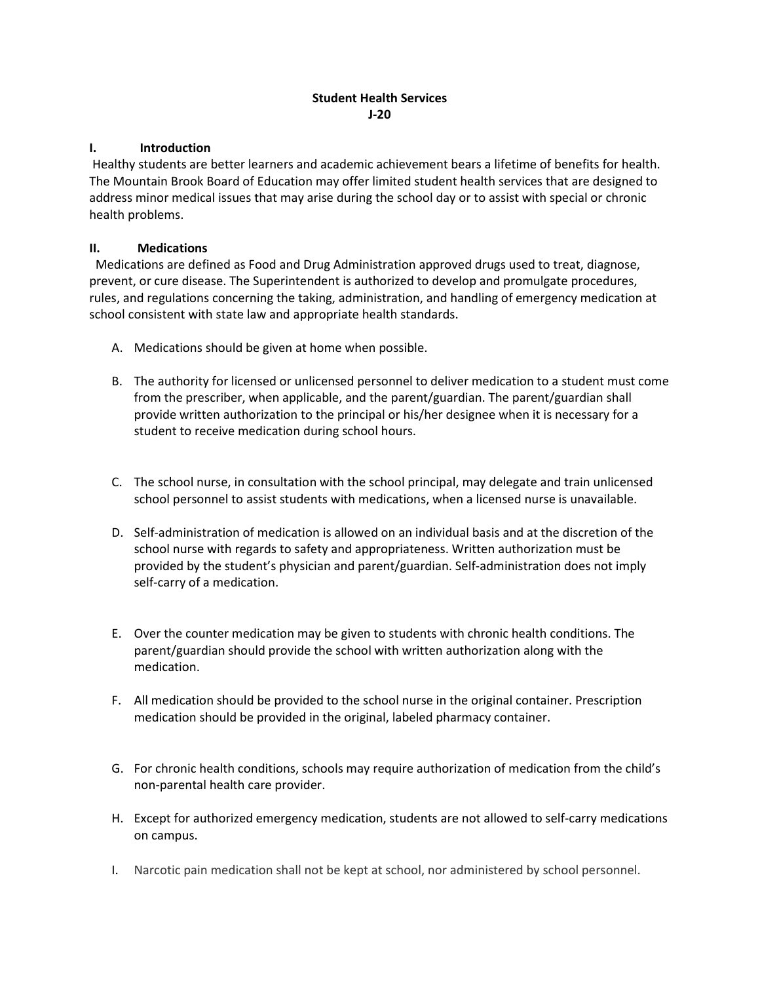# Student Health Services J-20

### I. Introduction

 Healthy students are better learners and academic achievement bears a lifetime of benefits for health. The Mountain Brook Board of Education may offer limited student health services that are designed to address minor medical issues that may arise during the school day or to assist with special or chronic health problems.

# II. Medications

 Medications are defined as Food and Drug Administration approved drugs used to treat, diagnose, prevent, or cure disease. The Superintendent is authorized to develop and promulgate procedures, rules, and regulations concerning the taking, administration, and handling of emergency medication at school consistent with state law and appropriate health standards.

- A. Medications should be given at home when possible.
- B. The authority for licensed or unlicensed personnel to deliver medication to a student must come from the prescriber, when applicable, and the parent/guardian. The parent/guardian shall provide written authorization to the principal or his/her designee when it is necessary for a student to receive medication during school hours.
- C. The school nurse, in consultation with the school principal, may delegate and train unlicensed school personnel to assist students with medications, when a licensed nurse is unavailable.
- D. Self-administration of medication is allowed on an individual basis and at the discretion of the school nurse with regards to safety and appropriateness. Written authorization must be provided by the student's physician and parent/guardian. Self-administration does not imply self-carry of a medication.
- E. Over the counter medication may be given to students with chronic health conditions. The parent/guardian should provide the school with written authorization along with the medication.
- F. All medication should be provided to the school nurse in the original container. Prescription medication should be provided in the original, labeled pharmacy container.
- G. For chronic health conditions, schools may require authorization of medication from the child's non-parental health care provider.
- H. Except for authorized emergency medication, students are not allowed to self-carry medications on campus.
- I. Narcotic pain medication shall not be kept at school, nor administered by school personnel.